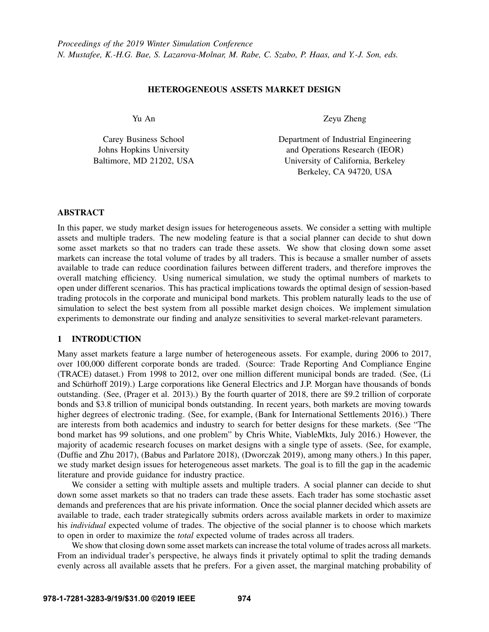### HETEROGENEOUS ASSETS MARKET DESIGN

Yu An

Carey Business School Johns Hopkins University Baltimore, MD 21202, USA Zeyu Zheng

Department of Industrial Engineering and Operations Research (IEOR) University of California, Berkeley Berkeley, CA 94720, USA

### ABSTRACT

In this paper, we study market design issues for heterogeneous assets. We consider a setting with multiple assets and multiple traders. The new modeling feature is that a social planner can decide to shut down some asset markets so that no traders can trade these assets. We show that closing down some asset markets can increase the total volume of trades by all traders. This is because a smaller number of assets available to trade can reduce coordination failures between different traders, and therefore improves the overall matching efficiency. Using numerical simulation, we study the optimal numbers of markets to open under different scenarios. This has practical implications towards the optimal design of session-based trading protocols in the corporate and municipal bond markets. This problem naturally leads to the use of simulation to select the best system from all possible market design choices. We implement simulation experiments to demonstrate our finding and analyze sensitivities to several market-relevant parameters.

# 1 INTRODUCTION

Many asset markets feature a large number of heterogeneous assets. For example, during 2006 to 2017, over 100,000 different corporate bonds are traded. (Source: Trade Reporting And Compliance Engine (TRACE) dataset.) From 1998 to 2012, over one million different municipal bonds are traded. (See, [\(Li](#page-8-0) and Schürhoff 2019).) Large corporations like General Electrics and J.P. Morgan have thousands of bonds outstanding. (See, [\(Prager et al. 2013\)](#page-8-1).) By the fourth quarter of 2018, there are \$9.2 trillion of corporate bonds and \$3.8 trillion of municipal bonds outstanding. In recent years, both markets are moving towards higher degrees of electronic trading. (See, for example, [\(Bank for International Settlements 2016\)](#page-8-2).) There are interests from both academics and industry to search for better designs for these markets. (See "The bond market has 99 solutions, and one problem" by Chris White, ViableMkts, July 2016.) However, the majority of academic research focuses on market designs with a single type of assets. (See, for example, [\(Duffie and Zhu 2017\)](#page-8-3), [\(Babus and Parlatore 2018\)](#page-8-4), [\(Dworczak 2019\)](#page-8-5), among many others.) In this paper, we study market design issues for heterogeneous asset markets. The goal is to fill the gap in the academic literature and provide guidance for industry practice.

We consider a setting with multiple assets and multiple traders. A social planner can decide to shut down some asset markets so that no traders can trade these assets. Each trader has some stochastic asset demands and preferences that are his private information. Once the social planner decided which assets are available to trade, each trader strategically submits orders across available markets in order to maximize his *individual* expected volume of trades. The objective of the social planner is to choose which markets to open in order to maximize the *total* expected volume of trades across all traders.

We show that closing down some asset markets can increase the total volume of trades across all markets. From an individual trader's perspective, he always finds it privately optimal to split the trading demands evenly across all available assets that he prefers. For a given asset, the marginal matching probability of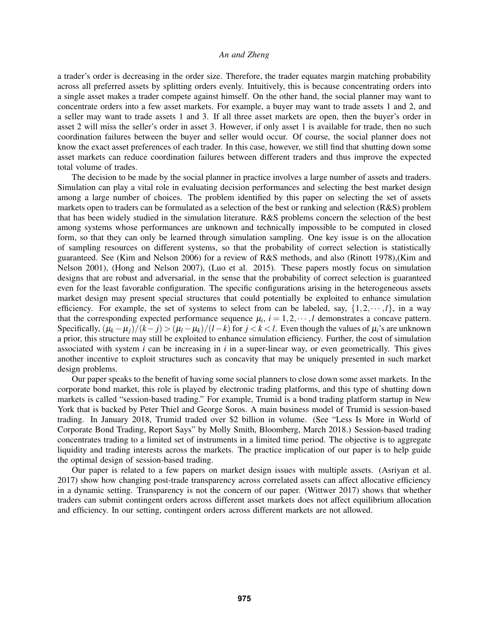a trader's order is decreasing in the order size. Therefore, the trader equates margin matching probability across all preferred assets by splitting orders evenly. Intuitively, this is because concentrating orders into a single asset makes a trader compete against himself. On the other hand, the social planner may want to concentrate orders into a few asset markets. For example, a buyer may want to trade assets 1 and 2, and a seller may want to trade assets 1 and 3. If all three asset markets are open, then the buyer's order in asset 2 will miss the seller's order in asset 3. However, if only asset 1 is available for trade, then no such coordination failures between the buyer and seller would occur. Of course, the social planner does not know the exact asset preferences of each trader. In this case, however, we still find that shutting down some asset markets can reduce coordination failures between different traders and thus improve the expected total volume of trades.

The decision to be made by the social planner in practice involves a large number of assets and traders. Simulation can play a vital role in evaluating decision performances and selecting the best market design among a large number of choices. The problem identified by this paper on selecting the set of assets markets open to traders can be formulated as a selection of the best or ranking and selection (R&S) problem that has been widely studied in the simulation literature. R&S problems concern the selection of the best among systems whose performances are unknown and technically impossible to be computed in closed form, so that they can only be learned through simulation sampling. One key issue is on the allocation of sampling resources on different systems, so that the probability of correct selection is statistically guaranteed. See [\(Kim and Nelson 2006\)](#page-8-6) for a review of R&S methods, and also [\(Rinott 1978\)](#page-8-7),[\(Kim and](#page-8-8) [Nelson 2001\)](#page-8-8), [\(Hong and Nelson 2007\)](#page-8-9), [\(Luo et al. 2015\)](#page-8-10). These papers mostly focus on simulation designs that are robust and adversarial, in the sense that the probability of correct selection is guaranteed even for the least favorable configuration. The specific configurations arising in the heterogeneous assets market design may present special structures that could potentially be exploited to enhance simulation efficiency. For example, the set of systems to select from can be labeled, say,  $\{1, 2, \dots, l\}$ , in a way that the corresponding expected performance sequence  $\mu_i$ ,  $i = 1, 2, \dots, l$  demonstrates a concave pattern. Specifically,  $(\mu_k - \mu_i)/(k - j) > (\mu_l - \mu_k)/(l - k)$  for  $j < k < l$ . Even though the values of  $\mu_i$ 's are unknown a prior, this structure may still be exploited to enhance simulation efficiency. Further, the cost of simulation associated with system  $i$  can be increasing in  $i$  in a super-linear way, or even geometrically. This gives another incentive to exploit structures such as concavity that may be uniquely presented in such market design problems.

Our paper speaks to the benefit of having some social planners to close down some asset markets. In the corporate bond market, this role is played by electronic trading platforms, and this type of shutting down markets is called "session-based trading." For example, Trumid is a bond trading platform startup in New York that is backed by Peter Thiel and George Soros. A main business model of Trumid is session-based trading. In January 2018, Trumid traded over \$2 billion in volume. (See "Less Is More in World of Corporate Bond Trading, Report Says" by Molly Smith, Bloomberg, March 2018.) Session-based trading concentrates trading to a limited set of instruments in a limited time period. The objective is to aggregate liquidity and trading interests across the markets. The practice implication of our paper is to help guide the optimal design of session-based trading.

Our paper is related to a few papers on market design issues with multiple assets. [\(Asriyan et al.](#page-8-11) [2017\)](#page-8-11) show how changing post-trade transparency across correlated assets can affect allocative efficiency in a dynamic setting. Transparency is not the concern of our paper. [\(Wittwer 2017\)](#page-8-12) shows that whether traders can submit contingent orders across different asset markets does not affect equilibrium allocation and efficiency. In our setting, contingent orders across different markets are not allowed.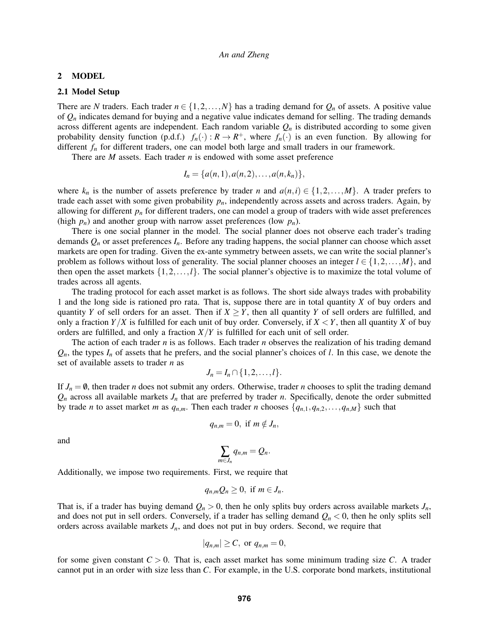### <span id="page-2-0"></span>2 MODEL

### 2.1 Model Setup

There are *N* traders. Each trader  $n \in \{1, 2, ..., N\}$  has a trading demand for  $Q_n$  of assets. A positive value of  $Q_n$  indicates demand for buying and a negative value indicates demand for selling. The trading demands across different agents are independent. Each random variable  $Q_n$  is distributed according to some given probability density function (p.d.f.)  $f_n(\cdot) : R \to R^+$ , where  $f_n(\cdot)$  is an even function. By allowing for different  $f_n$  for different traders, one can model both large and small traders in our framework.

There are *M* assets. Each trader *n* is endowed with some asset preference

$$
I_n = \{a(n,1), a(n,2), \ldots, a(n,k_n)\},\,
$$

where  $k_n$  is the number of assets preference by trader *n* and  $a(n,i) \in \{1,2,\ldots,M\}$ . A trader prefers to trade each asset with some given probability  $p_n$ , independently across assets and across traders. Again, by allowing for different  $p_n$  for different traders, one can model a group of traders with wide asset preferences (high  $p_n$ ) and another group with narrow asset preferences (low  $p_n$ ).

There is one social planner in the model. The social planner does not observe each trader's trading demands  $Q_n$  or asset preferences  $I_n$ . Before any trading happens, the social planner can choose which asset markets are open for trading. Given the ex-ante symmetry between assets, we can write the social planner's problem as follows without loss of generality. The social planner chooses an integer  $l \in \{1,2,\ldots,M\}$ , and then open the asset markets  $\{1,2,\ldots,l\}$ . The social planner's objective is to maximize the total volume of trades across all agents.

The trading protocol for each asset market is as follows. The short side always trades with probability 1 and the long side is rationed pro rata. That is, suppose there are in total quantity *X* of buy orders and quantity *Y* of sell orders for an asset. Then if  $X \geq Y$ , then all quantity *Y* of sell orders are fulfilled, and only a fraction *Y*/*X* is fulfilled for each unit of buy order. Conversely, if  $X < Y$ , then all quantity *X* of buy orders are fulfilled, and only a fraction *X*/*Y* is fulfilled for each unit of sell order.

The action of each trader *n* is as follows. Each trader *n* observes the realization of his trading demand  $Q_n$ , the types  $I_n$  of assets that he prefers, and the social planner's choices of *l*. In this case, we denote the set of available assets to trader *n* as

$$
J_n=I_n\cap\{1,2,\ldots,l\}.
$$

If  $J_n = \emptyset$ , then trader *n* does not submit any orders. Otherwise, trader *n* chooses to split the trading demand  $Q_n$  across all available markets  $J_n$  that are preferred by trader *n*. Specifically, denote the order submitted by trade *n* to asset market *m* as  $q_{n,m}$ . Then each trader *n* chooses  $\{q_{n,1}, q_{n,2}, \ldots, q_{n,M}\}$  such that

$$
q_{n,m}=0, \text{ if } m \notin J_n,
$$

and

$$
\sum_{m\in J_n}q_{n,m}=Q_n.
$$

Additionally, we impose two requirements. First, we require that

$$
q_{n,m}Q_n\geq 0, \text{ if } m\in J_n.
$$

That is, if a trader has buying demand  $Q_n > 0$ , then he only splits buy orders across available markets  $J_n$ , and does not put in sell orders. Conversely, if a trader has selling demand  $Q_n < 0$ , then he only splits sell orders across available markets  $J_n$ , and does not put in buy orders. Second, we require that

$$
|q_{n,m}| \geq C, \text{ or } q_{n,m} = 0,
$$

for some given constant  $C > 0$ . That is, each asset market has some minimum trading size *C*. A trader cannot put in an order with size less than *C*. For example, in the U.S. corporate bond markets, institutional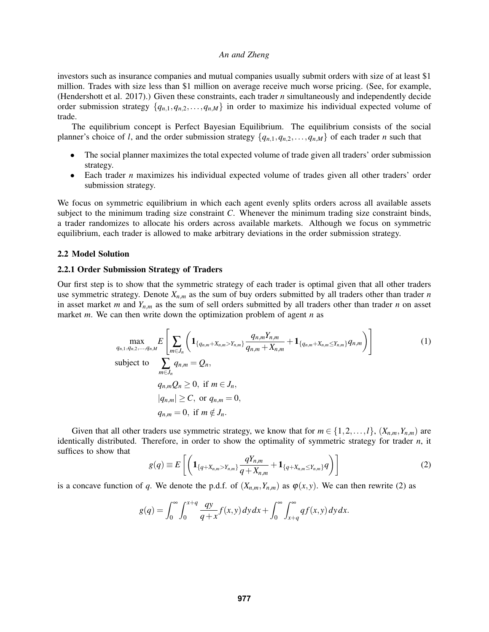investors such as insurance companies and mutual companies usually submit orders with size of at least \$1 million. Trades with size less than \$1 million on average receive much worse pricing. (See, for example, [\(Hendershott et al. 2017\)](#page-8-13).) Given these constraints, each trader *n* simultaneously and independently decide order submission strategy  $\{q_{n,1}, q_{n,2}, \ldots, q_{n,M}\}$  in order to maximize his individual expected volume of trade.

The equilibrium concept is Perfect Bayesian Equilibrium. The equilibrium consists of the social planner's choice of *l*, and the order submission strategy  $\{q_{n,1}, q_{n,2}, \ldots, q_{n,M}\}$  of each trader *n* such that

- The social planner maximizes the total expected volume of trade given all traders' order submission strategy.
- Each trader *n* maximizes his individual expected volume of trades given all other traders' order submission strategy.

We focus on symmetric equilibrium in which each agent evenly splits orders across all available assets subject to the minimum trading size constraint *C*. Whenever the minimum trading size constraint binds, a trader randomizes to allocate his orders across available markets. Although we focus on symmetric equilibrium, each trader is allowed to make arbitrary deviations in the order submission strategy.

### 2.2 Model Solution

#### 2.2.1 Order Submission Strategy of Traders

Our first step is to show that the symmetric strategy of each trader is optimal given that all other traders use symmetric strategy. Denote *Xn*,*<sup>m</sup>* as the sum of buy orders submitted by all traders other than trader *n* in asset market *m* and  $Y_{n,m}$  as the sum of sell orders submitted by all traders other than trader *n* on asset market *m*. We can then write down the optimization problem of agent *n* as

$$
\max_{q_{n,1}, q_{n,2}, ..., q_{n,M}} E\left[\sum_{m \in J_n} \left( \mathbf{1}_{\{q_{n,m} + X_{n,m} > Y_{n,m}\}} \frac{q_{n,m} Y_{n,m}}{q_{n,m} + X_{n,m}} + \mathbf{1}_{\{q_{n,m} + X_{n,m} \le Y_{n,m}\}} q_{n,m} \right) \right]
$$
\nsubject to

\n
$$
\sum_{m \in J_n} q_{n,m} = Q_n,
$$
\n
$$
q_{n,m} Q_n \geq 0, \text{ if } m \in J_n,
$$
\n
$$
|q_{n,m}| \geq C, \text{ or } q_{n,m} = 0,
$$
\n
$$
q_{n,m} = 0, \text{ if } m \notin J_n.
$$
\n(1)

Given that all other traders use symmetric strategy, we know that for  $m \in \{1, 2, ..., l\}$ ,  $(X_{n,m}, Y_{n,m})$  are identically distributed. Therefore, in order to show the optimality of symmetric strategy for trader *n*, it suffices to show that

<span id="page-3-0"></span>
$$
g(q) \equiv E\left[\left(\mathbf{1}_{\{q+X_{n,m}>Y_{n,m}\}}\frac{qY_{n,m}}{q+X_{n,m}}+\mathbf{1}_{\{q+X_{n,m}\leq Y_{n,m}\}}q\right)\right]
$$
(2)

is a concave function of *q*. We denote the p.d.f. of  $(X_{n,m}, Y_{n,m})$  as  $\varphi(x, y)$ . We can then rewrite [\(2\)](#page-3-0) as

$$
g(q) = \int_0^\infty \int_0^{x+q} \frac{qy}{q+x} f(x,y) dy dx + \int_0^\infty \int_{x+q}^\infty qf(x,y) dy dx.
$$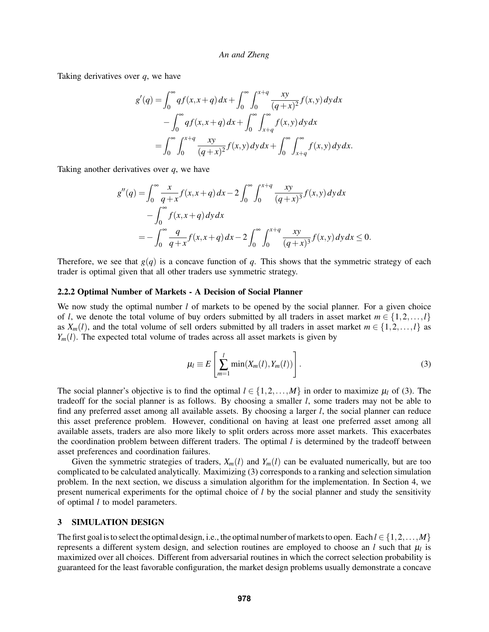Taking derivatives over *q*, we have

$$
g'(q) = \int_0^{\infty} qf(x, x + q) dx + \int_0^{\infty} \int_0^{x + q} \frac{xy}{(q + x)^2} f(x, y) dy dx
$$
  

$$
- \int_0^{\infty} qf(x, x + q) dx + \int_0^{\infty} \int_{x + q}^{\infty} f(x, y) dy dx
$$
  

$$
= \int_0^{\infty} \int_0^{x + q} \frac{xy}{(q + x)^2} f(x, y) dy dx + \int_0^{\infty} \int_{x + q}^{\infty} f(x, y) dy dx.
$$

Taking another derivatives over *q*, we have

$$
g''(q) = \int_0^\infty \frac{x}{q+x} f(x, x+q) dx - 2 \int_0^\infty \int_0^{x+q} \frac{xy}{(q+x)^3} f(x, y) dy dx
$$
  

$$
- \int_0^\infty f(x, x+q) dy dx
$$
  

$$
= - \int_0^\infty \frac{q}{q+x} f(x, x+q) dx - 2 \int_0^\infty \int_0^{x+q} \frac{xy}{(q+x)^3} f(x, y) dy dx \le 0.
$$

Therefore, we see that  $g(q)$  is a concave function of q. This shows that the symmetric strategy of each trader is optimal given that all other traders use symmetric strategy.

### 2.2.2 Optimal Number of Markets - A Decision of Social Planner

We now study the optimal number *l* of markets to be opened by the social planner. For a given choice of *l*, we denote the total volume of buy orders submitted by all traders in asset market  $m \in \{1, 2, ..., l\}$ as  $X_m(l)$ , and the total volume of sell orders submitted by all traders in asset market  $m \in \{1,2,\ldots,l\}$  as  $Y_m(l)$ . The expected total volume of trades across all asset markets is given by

<span id="page-4-0"></span>
$$
\mu_l \equiv E\left[\sum_{m=1}^l \min(X_m(l), Y_m(l))\right].
$$
\n(3)

The social planner's objective is to find the optimal  $l \in \{1, 2, ..., M\}$  in order to maximize  $\mu_l$  of [\(3\)](#page-4-0). The tradeoff for the social planner is as follows. By choosing a smaller *l*, some traders may not be able to find any preferred asset among all available assets. By choosing a larger *l*, the social planner can reduce this asset preference problem. However, conditional on having at least one preferred asset among all available assets, traders are also more likely to split orders across more asset markets. This exacerbates the coordination problem between different traders. The optimal  $l$  is determined by the tradeoff between asset preferences and coordination failures.

Given the symmetric strategies of traders,  $X_m(l)$  and  $Y_m(l)$  can be evaluated numerically, but are too complicated to be calculated analytically. Maximizing [\(3\)](#page-4-0) corresponds to a ranking and selection simulation problem. In the next section, we discuss a simulation algorithm for the implementation. In Section [4,](#page-5-0) we present numerical experiments for the optimal choice of *l* by the social planner and study the sensitivity of optimal *l* to model parameters.

# 3 SIMULATION DESIGN

The first goal is to select the optimal design, i.e., the optimal number of markets to open. Each  $l \in \{1,2,\ldots,M\}$ represents a different system design, and selection routines are employed to choose an  $l$  such that  $\mu_l$  is maximized over all choices. Different from adversarial routines in which the correct selection probability is guaranteed for the least favorable configuration, the market design problems usually demonstrate a concave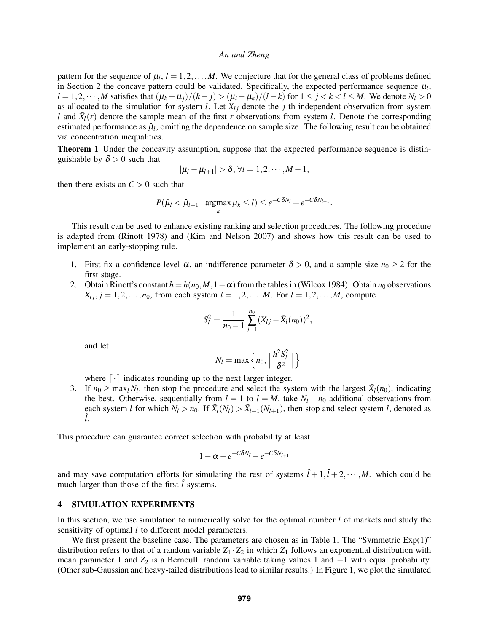pattern for the sequence of  $\mu_l$ ,  $l = 1, 2, ..., M$ . We conjecture that for the general class of problems defined in Section [2](#page-2-0) the concave pattern could be validated. Specifically, the expected performance sequence  $\mu_l$ , *l* = 1,2, …, *M* satisfies that  $(\mu_k - \mu_j)/(k - j) > (\mu_l - \mu_k)/(l - k)$  for  $1 \le j < k < l \le M$ . We denote  $N_l > 0$ as allocated to the simulation for system *l*. Let  $X_{ij}$  denote the *j*-th independent observation from system *l* and  $\bar{X}_l(r)$  denote the sample mean of the first *r* observations from system *l*. Denote the corresponding estimated performance as  $\hat{\mu}_l$ , omitting the dependence on sample size. The following result can be obtained via concentration inequalities.

Theorem 1 Under the concavity assumption, suppose that the expected performance sequence is distinguishable by  $\delta > 0$  such that

$$
|\mu_l-\mu_{l+1}|>\delta, \forall l=1,2,\cdots,M-1,
$$

then there exists an  $C > 0$  such that

$$
P(\hat{\mu}_l < \hat{\mu}_{l+1} | \operatorname*{argmax}_{k} \mu_k \leq l) \leq e^{-C\delta N_l} + e^{-C\delta N_{l+1}}.
$$

This result can be used to enhance existing ranking and selection procedures. The following procedure is adapted from [\(Rinott 1978\)](#page-8-7) and [\(Kim and Nelson 2007\)](#page-8-14) and shows how this result can be used to implement an early-stopping rule.

- 1. First fix a confidence level  $\alpha$ , an indifference parameter  $\delta > 0$ , and a sample size  $n_0 \geq 2$  for the first stage.
- 2. Obtain Rinott's constant  $h = h(n_0, M, 1 \alpha)$  from the tables in [\(Wilcox 1984\)](#page-8-15). Obtain  $n_0$  observations  $X_{l i}, j = 1, 2, ..., n_0$ , from each system  $l = 1, 2, ..., M$ . For  $l = 1, 2, ..., M$ , compute

$$
S_l^2 = \frac{1}{n_0 - 1} \sum_{j=1}^{n_0} (X_{lj} - \bar{X}_l(n_0))^2,
$$

and let

$$
N_l = \max\left\{n_0, \left\lceil \frac{h^2 S_l^2}{\delta^2} \right\rceil \right\}
$$

where  $\lceil \cdot \rceil$  indicates rounding up to the next larger integer.

3. If  $n_0 \ge \max_l N_l$ , then stop the procedure and select the system with the largest  $\bar{X}_l(n_0)$ , indicating the best. Otherwise, sequentially from  $l = 1$  to  $l = M$ , take  $N_l - n_0$  additional observations from each system *l* for which  $N_l > n_0$ . If  $\bar{X}_l(N_l) > \bar{X}_{l+1}(N_{l+1})$ , then stop and select system *l*, denoted as ˆ*l*.

This procedure can guarantee correct selection with probability at least

$$
1-\alpha-e^{-C\delta N_{\hat{l}}}-e^{-C\delta N_{\hat{l}+1}}
$$

and may save computation efforts for simulating the rest of systems  $\hat{i} + 1, \hat{i} + 2, \dots, M$ . which could be much larger than those of the first  $\hat{l}$  systems.

# <span id="page-5-0"></span>4 SIMULATION EXPERIMENTS

In this section, we use simulation to numerically solve for the optimal number *l* of markets and study the sensitivity of optimal *l* to different model parameters.

We first present the baseline case. The parameters are chosen as in Table 1. The "Symmetric  $Exp(1)$ " distribution refers to that of a random variable  $Z_1 \cdot Z_2$  in which  $Z_1$  follows an exponential distribution with mean parameter 1 and  $Z_2$  is a Bernoulli random variable taking values 1 and  $-1$  with equal probability. (Other sub-Gaussian and heavy-tailed distributions lead to similar results.) In Figure [1,](#page-6-0) we plot the simulated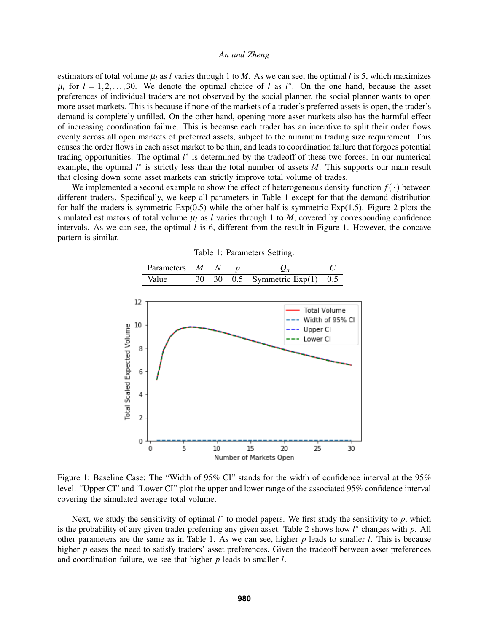estimators of total volume  $\mu_l$  as *l* varies through 1 to *M*. As we can see, the optimal *l* is 5, which maximizes  $\mu_l$  for  $l = 1, 2, \ldots, 30$ . We denote the optimal choice of *l* as  $l^*$ . On the one hand, because the asset preferences of individual traders are not observed by the social planner, the social planner wants to open more asset markets. This is because if none of the markets of a trader's preferred assets is open, the trader's demand is completely unfilled. On the other hand, opening more asset markets also has the harmful effect of increasing coordination failure. This is because each trader has an incentive to split their order flows evenly across all open markets of preferred assets, subject to the minimum trading size requirement. This causes the order flows in each asset market to be thin, and leads to coordination failure that forgoes potential trading opportunities. The optimal *l*<sup>∗</sup> is determined by the tradeoff of these two forces. In our numerical example, the optimal *l*<sup>\*</sup> is strictly less than the total number of assets *M*. This supports our main result that closing down some asset markets can strictly improve total volume of trades.

We implemented a second example to show the effect of heterogeneous density function  $f(\cdot)$  between different traders. Specifically, we keep all parameters in Table 1 except for that the demand distribution for half the traders is symmetric  $Exp(0.5)$  while the other half is symmetric  $Exp(1.5)$ . Figure [2](#page-7-0) plots the simulated estimators of total volume  $\mu_l$  as *l* varies through 1 to *M*, covered by corresponding confidence intervals. As we can see, the optimal *l* is 6, different from the result in Figure [1.](#page-6-0) However, the concave pattern is similar.

<span id="page-6-1"></span>

<span id="page-6-0"></span>Figure 1: Baseline Case: The "Width of 95% CI" stands for the width of confidence interval at the 95% level. "Upper CI" and "Lower CI" plot the upper and lower range of the associated 95% confidence interval covering the simulated average total volume.

Next, we study the sensitivity of optimal *l*<sup>∗</sup> to model papers. We first study the sensitivity to *p*, which is the probability of any given trader preferring any given asset. Table [2](#page-7-1) shows how *l*<sup>∗</sup> changes with *p*. All other parameters are the same as in Table [1.](#page-6-1) As we can see, higher *p* leads to smaller *l*. This is because higher *p* eases the need to satisfy traders' asset preferences. Given the tradeoff between asset preferences and coordination failure, we see that higher *p* leads to smaller *l*.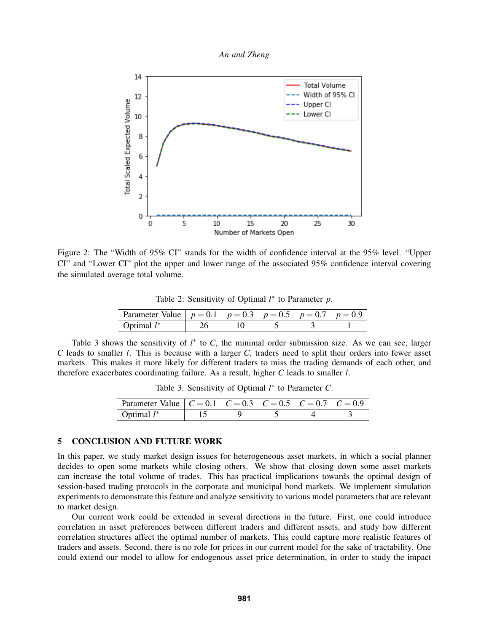*An and Zheng*



<span id="page-7-0"></span>Figure 2: The "Width of 95% CI" stands for the width of confidence interval at the 95% level. "Upper CI" and "Lower CI" plot the upper and lower range of the associated 95% confidence interval covering the simulated average total volume.

<span id="page-7-1"></span>Table 2: Sensitivity of Optimal *l* ∗ to Parameter *p*.

| Parameter Value $p = 0.1$ $p = 0.3$ $p = 0.5$ $p = 0.7$ $p = 0.9$ |  |  |  |
|-------------------------------------------------------------------|--|--|--|
| Optimal $l^*$                                                     |  |  |  |

Table [3](#page-7-2) shows the sensitivity of  $l^*$  to  $C$ , the minimal order submission size. As we can see, larger *C* leads to smaller *l*. This is because with a larger *C*, traders need to split their orders into fewer asset markets. This makes it more likely for different traders to miss the trading demands of each other, and therefore exacerbates coordinating failure. As a result, higher *C* leads to smaller *l*.

<span id="page-7-2"></span>Table 3: Sensitivity of Optimal *l* ∗ to Parameter *C*.

| Parameter Value $ C = 0.1 \quad C = 0.3 \quad C = 0.5 \quad C = 0.7 \quad C = 0.9$ |  |  |  |
|------------------------------------------------------------------------------------|--|--|--|
| Optimal $l^*$                                                                      |  |  |  |

### 5 CONCLUSION AND FUTURE WORK

In this paper, we study market design issues for heterogeneous asset markets, in which a social planner decides to open some markets while closing others. We show that closing down some asset markets can increase the total volume of trades. This has practical implications towards the optimal design of session-based trading protocols in the corporate and municipal bond markets. We implement simulation experiments to demonstrate this feature and analyze sensitivity to various model parameters that are relevant to market design.

Our current work could be extended in several directions in the future. First, one could introduce correlation in asset preferences between different traders and different assets, and study how different correlation structures affect the optimal number of markets. This could capture more realistic features of traders and assets. Second, there is no role for prices in our current model for the sake of tractability. One could extend our model to allow for endogenous asset price determination, in order to study the impact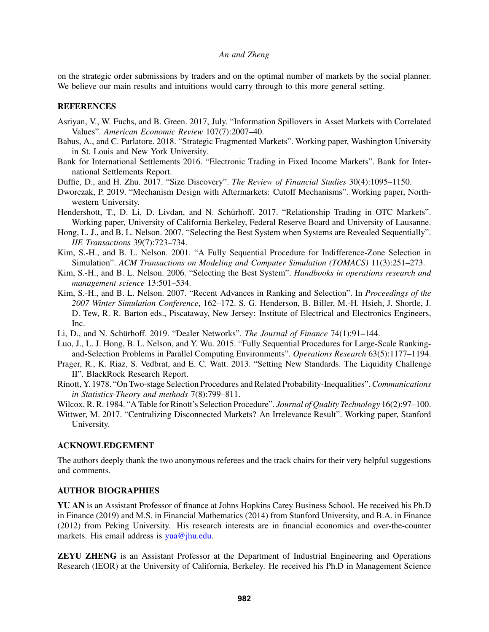on the strategic order submissions by traders and on the optimal number of markets by the social planner. We believe our main results and intuitions would carry through to this more general setting.

### **REFERENCES**

- <span id="page-8-11"></span>Asriyan, V., W. Fuchs, and B. Green. 2017, July. "Information Spillovers in Asset Markets with Correlated Values". *American Economic Review* 107(7):2007–40.
- <span id="page-8-4"></span>Babus, A., and C. Parlatore. 2018. "Strategic Fragmented Markets". Working paper, Washington University in St. Louis and New York University.
- <span id="page-8-2"></span>Bank for International Settlements 2016. "Electronic Trading in Fixed Income Markets". Bank for International Settlements Report.
- <span id="page-8-3"></span>Duffie, D., and H. Zhu. 2017. "Size Discovery". *The Review of Financial Studies* 30(4):1095–1150.
- <span id="page-8-5"></span>Dworczak, P. 2019. "Mechanism Design with Aftermarkets: Cutoff Mechanisms". Working paper, Northwestern University.
- <span id="page-8-13"></span>Hendershott, T., D. Li, D. Livdan, and N. Schürhoff. 2017. "Relationship Trading in OTC Markets". Working paper, University of California Berkeley, Federal Reserve Board and University of Lausanne.
- <span id="page-8-9"></span>Hong, L. J., and B. L. Nelson. 2007. "Selecting the Best System when Systems are Revealed Sequentially". *IIE Transactions* 39(7):723–734.
- <span id="page-8-8"></span>Kim, S.-H., and B. L. Nelson. 2001. "A Fully Sequential Procedure for Indifference-Zone Selection in Simulation". *ACM Transactions on Modeling and Computer Simulation (TOMACS)* 11(3):251–273.
- <span id="page-8-6"></span>Kim, S.-H., and B. L. Nelson. 2006. "Selecting the Best System". *Handbooks in operations research and management science* 13:501–534.
- <span id="page-8-14"></span>Kim, S.-H., and B. L. Nelson. 2007. "Recent Advances in Ranking and Selection". In *Proceedings of the 2007 Winter Simulation Conference*, 162–172. S. G. Henderson, B. Biller, M.-H. Hsieh, J. Shortle, J. D. Tew, R. R. Barton eds., Piscataway, New Jersey: Institute of Electrical and Electronics Engineers, Inc.
- <span id="page-8-0"></span>Li, D., and N. Schürhoff. 2019. "Dealer Networks". The Journal of Finance 74(1):91-144.
- <span id="page-8-10"></span>Luo, J., L. J. Hong, B. L. Nelson, and Y. Wu. 2015. "Fully Sequential Procedures for Large-Scale Rankingand-Selection Problems in Parallel Computing Environments". *Operations Research* 63(5):1177–1194.
- <span id="page-8-1"></span>Prager, R., K. Riaz, S. Vedbrat, and E. C. Watt. 2013. "Setting New Standards. The Liquidity Challenge II". BlackRock Research Report.
- <span id="page-8-7"></span>Rinott, Y. 1978. "On Two-stage Selection Procedures and Related Probability-Inequalities".*Communications in Statistics-Theory and methods* 7(8):799–811.
- <span id="page-8-15"></span>Wilcox, R. R. 1984. "A Table for Rinott's Selection Procedure". *Journal of Quality Technology* 16(2):97–100.
- <span id="page-8-12"></span>Wittwer, M. 2017. "Centralizing Disconnected Markets? An Irrelevance Result". Working paper, Stanford University.

## ACKNOWLEDGEMENT

The authors deeply thank the two anonymous referees and the track chairs for their very helpful suggestions and comments.

### AUTHOR BIOGRAPHIES

YU AN is an Assistant Professor of finance at Johns Hopkins Carey Business School. He received his Ph.D in Finance (2019) and M.S. in Financial Mathematics (2014) from Stanford University, and B.A. in Finance (2012) from Peking University. His research interests are in financial economics and over-the-counter markets. His email address is [yua@jhu.edu.](mailto://yua@jhu.edu)

ZEYU ZHENG is an Assistant Professor at the Department of Industrial Engineering and Operations Research (IEOR) at the University of California, Berkeley. He received his Ph.D in Management Science